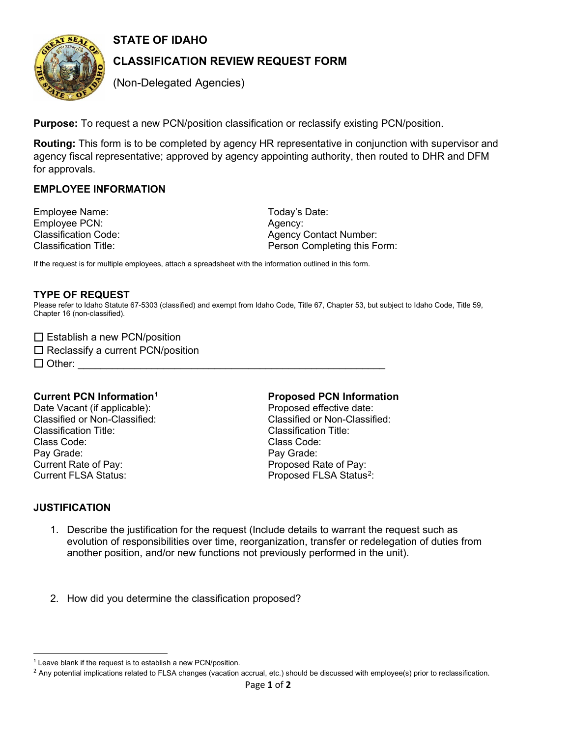

**STATE OF IDAHO** 

# **CLASSIFICATION REVIEW REQUEST FORM**

(Non-Delegated Agencies)

**Purpose:** To request a new PCN/position classification or reclassify existing PCN/position.

 **Routing:** This form is to be completed by agency HR representative in conjunction with supervisor and agency fiscal representative; approved by agency appointing authority, then routed to DHR and DFM for approvals.

## **EMPLOYEE INFORMATION**

Employee Name: Today's Date: Employee PCN: Agency:

Classification Code:  $\qquad \qquad$  Agency Contact Number: Classification Title: Person Completing this Form:

If the request is for multiple employees, attach a spreadsheet with the information outlined in this form.

#### **TYPE OF REQUEST**

 Please refer to Idaho Statute 67-5303 (classified) and exempt from Idaho Code, Title 67, Chapter 53, but subject to Idaho Code, Title 59, Chapter 16 (non-classified).

|  |  | $\Box$ Establish a new PCN/position |
|--|--|-------------------------------------|
|--|--|-------------------------------------|

 $\Box$  Reclassify a current PCN/position

 $\Box$  Other:

Class Code: Current Rate of Pay:<br>Current FLSA Status: Date Vacant (if applicable): example and proposed effective date: Pay Grade: Pay Grade: Pay Grade: Pay Grade: Pay Grade: Pay Grade: Pay Grade: Pay Grade: Pay Grade: Pay Grade: Pay Grade: Pay Grade: Pay Grade: Pay Grade: Pay Grade: Pay Grade: Pay Grade: Pay Grade: Pay Grade: Pay Grade: Pa

#### **Current PCN Information[1](#page-0-0) Proposed PCN Information**

Classified or Non-Classified: Classified or Non-Classified: Classification Title: Classification Title: Class Code: Proposed Rate of Pay: Proposed FLSA Status<sup>[2](#page-0-1)</sup>:

#### **JUSTIFICATION**

- 1. Describe the justification for the request (Include details to warrant the request such as evolution of responsibilities over time, reorganization, transfer or redelegation of duties from another position, and/or new functions not previously performed in the unit).
- 2. How did you determine the classification proposed?

<span id="page-0-0"></span><sup>&</sup>lt;sup>1</sup> Leave blank if the request is to establish a new PCN/position.

<span id="page-0-1"></span> $<sup>2</sup>$  Any potential implications related to FLSA changes (vacation accrual, etc.) should be discussed with employee(s) prior to reclassification.</sup>